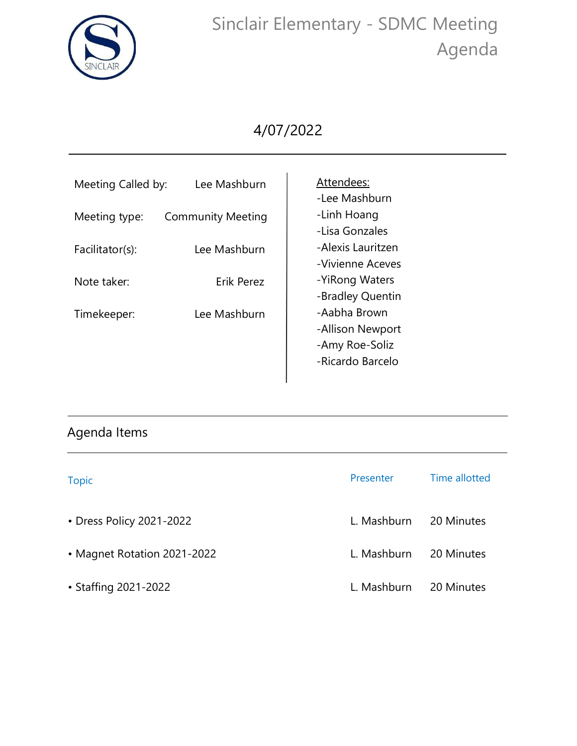

## Sinclair Elementary - SDMC Meeting Agenda

## 4/07/2022

| Meeting Called by: | Lee Mashburn             | Attendees:<br>-Lee Mashburn                                            |
|--------------------|--------------------------|------------------------------------------------------------------------|
| Meeting type:      | <b>Community Meeting</b> | -Linh Hoang<br>-Lisa Gonzales                                          |
| Facilitator(s):    | Lee Mashburn             | -Alexis Lauritzen<br>-Vivienne Aceves                                  |
| Note taker:        | Erik Perez               | -YiRong Waters<br>-Bradley Quentin                                     |
| Timekeeper:        | Lee Mashburn             | -Aabha Brown<br>-Allison Newport<br>-Amy Roe-Soliz<br>-Ricardo Barcelo |

## Agenda Items

| <b>Topic</b>                | Presenter   | Time allotted |
|-----------------------------|-------------|---------------|
| • Dress Policy 2021-2022    | L. Mashburn | 20 Minutes    |
| • Magnet Rotation 2021-2022 | L. Mashburn | 20 Minutes    |
| • Staffing 2021-2022        | L. Mashburn | 20 Minutes    |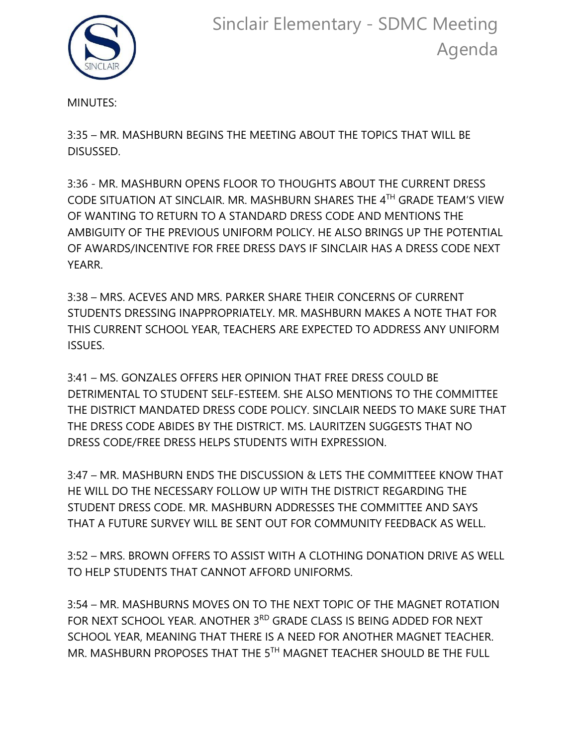

MINUTES:

3:35 – MR. MASHBURN BEGINS THE MEETING ABOUT THE TOPICS THAT WILL BE DISUSSED.

3:36 - MR. MASHBURN OPENS FLOOR TO THOUGHTS ABOUT THE CURRENT DRESS CODE SITUATION AT SINCLAIR. MR. MASHBURN SHARES THE 4 TH GRADE TEAM'S VIEW OF WANTING TO RETURN TO A STANDARD DRESS CODE AND MENTIONS THE AMBIGUITY OF THE PREVIOUS UNIFORM POLICY. HE ALSO BRINGS UP THE POTENTIAL OF AWARDS/INCENTIVE FOR FREE DRESS DAYS IF SINCLAIR HAS A DRESS CODE NEXT YEARR.

3:38 – MRS. ACEVES AND MRS. PARKER SHARE THEIR CONCERNS OF CURRENT STUDENTS DRESSING INAPPROPRIATELY. MR. MASHBURN MAKES A NOTE THAT FOR THIS CURRENT SCHOOL YEAR, TEACHERS ARE EXPECTED TO ADDRESS ANY UNIFORM ISSUES.

3:41 – MS. GONZALES OFFERS HER OPINION THAT FREE DRESS COULD BE DETRIMENTAL TO STUDENT SELF-ESTEEM. SHE ALSO MENTIONS TO THE COMMITTEE THE DISTRICT MANDATED DRESS CODE POLICY. SINCLAIR NEEDS TO MAKE SURE THAT THE DRESS CODE ABIDES BY THE DISTRICT. MS. LAURITZEN SUGGESTS THAT NO DRESS CODE/FREE DRESS HELPS STUDENTS WITH EXPRESSION.

3:47 – MR. MASHBURN ENDS THE DISCUSSION & LETS THE COMMITTEEE KNOW THAT HE WILL DO THE NECESSARY FOLLOW UP WITH THE DISTRICT REGARDING THE STUDENT DRESS CODE. MR. MASHBURN ADDRESSES THE COMMITTEE AND SAYS THAT A FUTURE SURVEY WILL BE SENT OUT FOR COMMUNITY FEEDBACK AS WELL.

3:52 – MRS. BROWN OFFERS TO ASSIST WITH A CLOTHING DONATION DRIVE AS WELL TO HELP STUDENTS THAT CANNOT AFFORD UNIFORMS.

3:54 – MR. MASHBURNS MOVES ON TO THE NEXT TOPIC OF THE MAGNET ROTATION FOR NEXT SCHOOL YEAR. ANOTHER 3<sup>RD</sup> GRADE CLASS IS BEING ADDED FOR NEXT SCHOOL YEAR, MEANING THAT THERE IS A NEED FOR ANOTHER MAGNET TEACHER. MR. MASHBURN PROPOSES THAT THE 5TH MAGNET TEACHER SHOULD BE THE FULL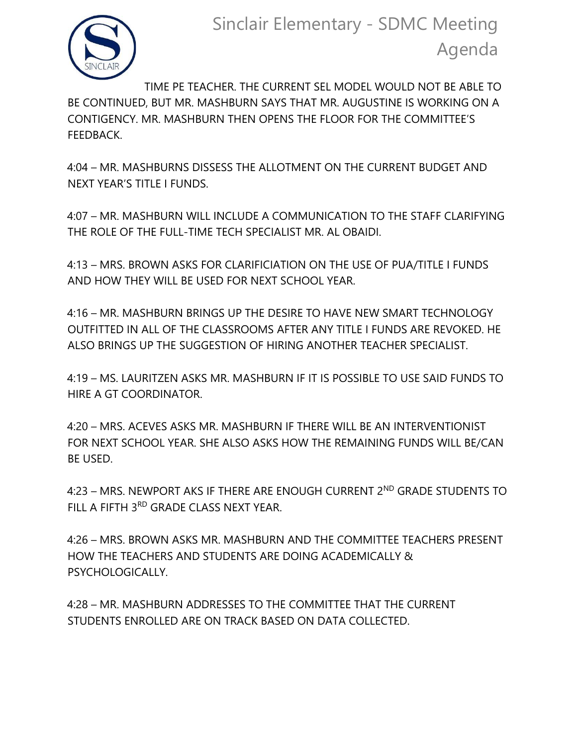

TIME PE TEACHER. THE CURRENT SEL MODEL WOULD NOT BE ABLE TO BE CONTINUED, BUT MR. MASHBURN SAYS THAT MR. AUGUSTINE IS WORKING ON A CONTIGENCY. MR. MASHBURN THEN OPENS THE FLOOR FOR THE COMMITTEE'S FEEDBACK.

4:04 – MR. MASHBURNS DISSESS THE ALLOTMENT ON THE CURRENT BUDGET AND NEXT YEAR'S TITLE I FUNDS.

4:07 – MR. MASHBURN WILL INCLUDE A COMMUNICATION TO THE STAFF CLARIFYING THE ROLE OF THE FULL-TIME TECH SPECIALIST MR. AL OBAIDI.

4:13 – MRS. BROWN ASKS FOR CLARIFICIATION ON THE USE OF PUA/TITLE I FUNDS AND HOW THEY WILL BE USED FOR NEXT SCHOOL YEAR.

4:16 – MR. MASHBURN BRINGS UP THE DESIRE TO HAVE NEW SMART TECHNOLOGY OUTFITTED IN ALL OF THE CLASSROOMS AFTER ANY TITLE I FUNDS ARE REVOKED. HE ALSO BRINGS UP THE SUGGESTION OF HIRING ANOTHER TEACHER SPECIALIST.

4:19 – MS. LAURITZEN ASKS MR. MASHBURN IF IT IS POSSIBLE TO USE SAID FUNDS TO HIRE A GT COORDINATOR.

4:20 – MRS. ACEVES ASKS MR. MASHBURN IF THERE WILL BE AN INTERVENTIONIST FOR NEXT SCHOOL YEAR. SHE ALSO ASKS HOW THE REMAINING FUNDS WILL BE/CAN BE USED.

4:23 – MRS. NEWPORT AKS IF THERE ARE ENOUGH CURRENT 2ND GRADE STUDENTS TO FILL A FIFTH 3RD GRADE CLASS NEXT YEAR.

4:26 – MRS. BROWN ASKS MR. MASHBURN AND THE COMMITTEE TEACHERS PRESENT HOW THE TEACHERS AND STUDENTS ARE DOING ACADEMICALLY & PSYCHOLOGICALLY.

4:28 – MR. MASHBURN ADDRESSES TO THE COMMITTEE THAT THE CURRENT STUDENTS ENROLLED ARE ON TRACK BASED ON DATA COLLECTED.